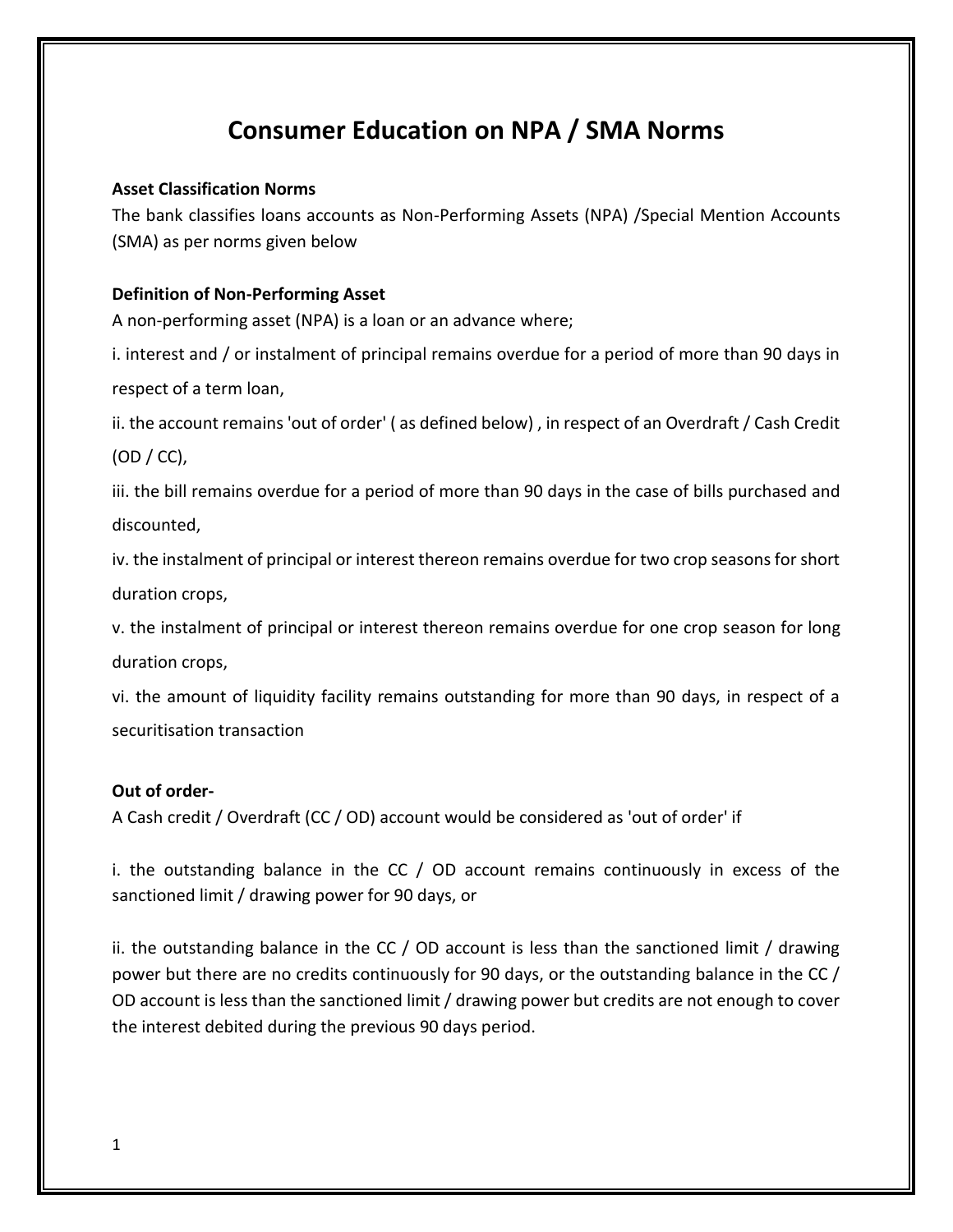# **Consumer Education on NPA / SMA Norms**

# **Asset Classification Norms**

The bank classifies loans accounts as Non-Performing Assets (NPA) /Special Mention Accounts (SMA) as per norms given below

# **Definition of Non-Performing Asset**

A non-performing asset (NPA) is a loan or an advance where;

i. interest and / or instalment of principal remains overdue for a period of more than 90 days in respect of a term loan,

ii. the account remains 'out of order' ( as defined below) , in respect of an Overdraft / Cash Credit (OD / CC),

iii. the bill remains overdue for a period of more than 90 days in the case of bills purchased and discounted,

iv. the instalment of principal or interest thereon remains overdue for two crop seasons for short duration crops,

v. the instalment of principal or interest thereon remains overdue for one crop season for long duration crops,

vi. the amount of liquidity facility remains outstanding for more than 90 days, in respect of a securitisation transaction

#### **Out of order-**

A Cash credit / Overdraft (CC / OD) account would be considered as 'out of order' if

i. the outstanding balance in the CC / OD account remains continuously in excess of the sanctioned limit / drawing power for 90 days, or

ii. the outstanding balance in the CC / OD account is less than the sanctioned limit / drawing power but there are no credits continuously for 90 days, or the outstanding balance in the CC / OD account is less than the sanctioned limit / drawing power but credits are not enough to cover the interest debited during the previous 90 days period.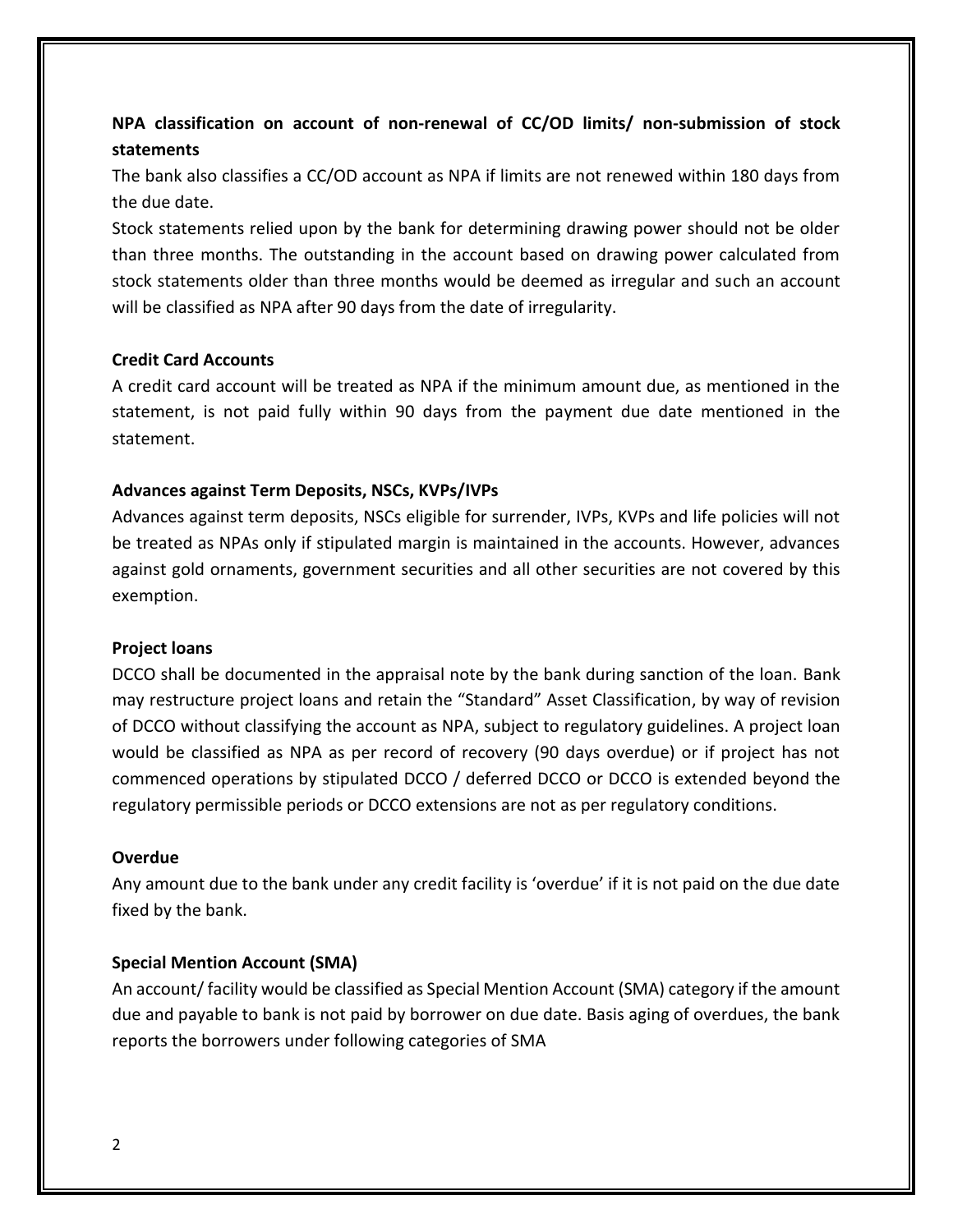# **NPA classification on account of non-renewal of CC/OD limits/ non-submission of stock statements**

The bank also classifies a CC/OD account as NPA if limits are not renewed within 180 days from the due date.

Stock statements relied upon by the bank for determining drawing power should not be older than three months. The outstanding in the account based on drawing power calculated from stock statements older than three months would be deemed as irregular and such an account will be classified as NPA after 90 days from the date of irregularity.

# **Credit Card Accounts**

A credit card account will be treated as NPA if the minimum amount due, as mentioned in the statement, is not paid fully within 90 days from the payment due date mentioned in the statement.

# **Advances against Term Deposits, NSCs, KVPs/IVPs**

Advances against term deposits, NSCs eligible for surrender, IVPs, KVPs and life policies will not be treated as NPAs only if stipulated margin is maintained in the accounts. However, advances against gold ornaments, government securities and all other securities are not covered by this exemption.

#### **Project loans**

DCCO shall be documented in the appraisal note by the bank during sanction of the loan. Bank may restructure project loans and retain the "Standard" Asset Classification, by way of revision of DCCO without classifying the account as NPA, subject to regulatory guidelines. A project loan would be classified as NPA as per record of recovery (90 days overdue) or if project has not commenced operations by stipulated DCCO / deferred DCCO or DCCO is extended beyond the regulatory permissible periods or DCCO extensions are not as per regulatory conditions.

#### **Overdue**

Any amount due to the bank under any credit facility is 'overdue' if it is not paid on the due date fixed by the bank.

# **Special Mention Account (SMA)**

An account/ facility would be classified as Special Mention Account (SMA) category if the amount due and payable to bank is not paid by borrower on due date. Basis aging of overdues, the bank reports the borrowers under following categories of SMA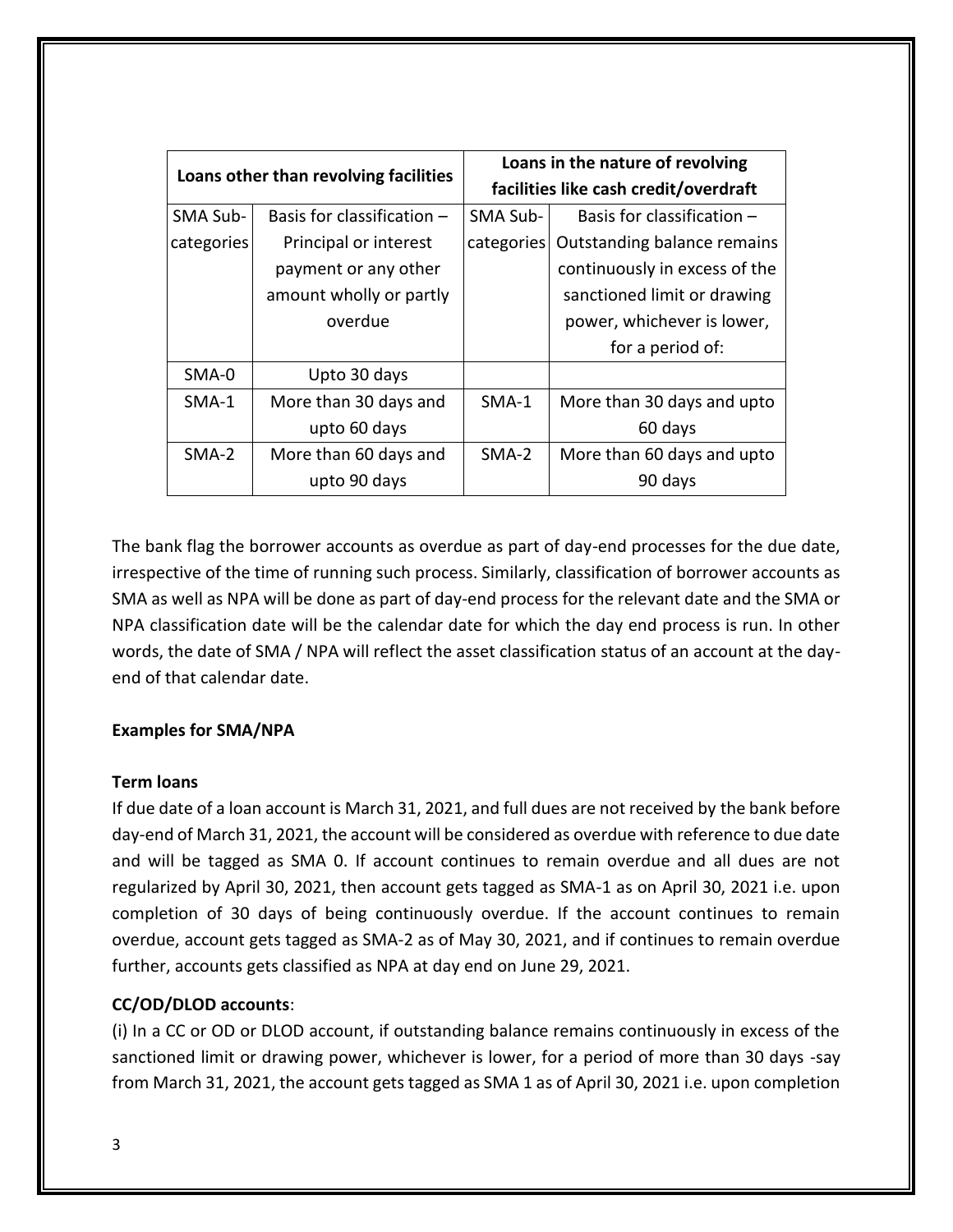| Loans other than revolving facilities |                              | Loans in the nature of revolving<br>facilities like cash credit/overdraft |                               |
|---------------------------------------|------------------------------|---------------------------------------------------------------------------|-------------------------------|
| SMA Sub-                              | Basis for classification $-$ | SMA Sub-                                                                  | Basis for classification $-$  |
| categories                            | Principal or interest        | categories                                                                | Outstanding balance remains   |
|                                       | payment or any other         |                                                                           | continuously in excess of the |
|                                       | amount wholly or partly      |                                                                           | sanctioned limit or drawing   |
|                                       | overdue                      |                                                                           | power, whichever is lower,    |
|                                       |                              |                                                                           | for a period of:              |
| SMA-0                                 | Upto 30 days                 |                                                                           |                               |
| $SMA-1$                               | More than 30 days and        | $SMA-1$                                                                   | More than 30 days and upto    |
|                                       | upto 60 days                 |                                                                           | 60 days                       |
| $SMA-2$                               | More than 60 days and        | $SMA-2$                                                                   | More than 60 days and upto    |
|                                       | upto 90 days                 |                                                                           | 90 days                       |

The bank flag the borrower accounts as overdue as part of day-end processes for the due date, irrespective of the time of running such process. Similarly, classification of borrower accounts as SMA as well as NPA will be done as part of day-end process for the relevant date and the SMA or NPA classification date will be the calendar date for which the day end process is run. In other words, the date of SMA / NPA will reflect the asset classification status of an account at the dayend of that calendar date.

# **Examples for SMA/NPA**

# **Term loans**

If due date of a loan account is March 31, 2021, and full dues are not received by the bank before day-end of March 31, 2021, the account will be considered as overdue with reference to due date and will be tagged as SMA 0. If account continues to remain overdue and all dues are not regularized by April 30, 2021, then account gets tagged as SMA-1 as on April 30, 2021 i.e. upon completion of 30 days of being continuously overdue. If the account continues to remain overdue, account gets tagged as SMA-2 as of May 30, 2021, and if continues to remain overdue further, accounts gets classified as NPA at day end on June 29, 2021.

# **CC/OD/DLOD accounts**:

(i) In a CC or OD or DLOD account, if outstanding balance remains continuously in excess of the sanctioned limit or drawing power, whichever is lower, for a period of more than 30 days -say from March 31, 2021, the account gets tagged as SMA 1 as of April 30, 2021 i.e. upon completion